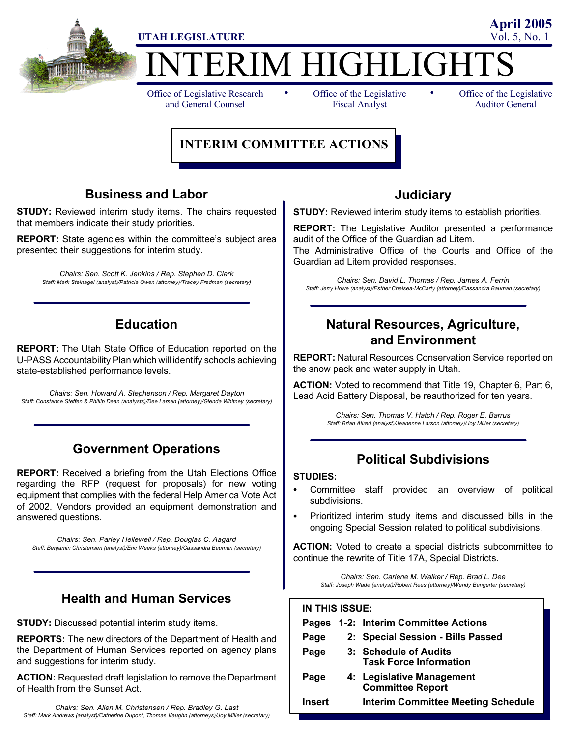

# ERIM HIGHLIGHT

Office of Legislative Research and General Counsel

• Office of the Legislative • Fiscal Analyst

Office of the Legislative Auditor General

**April 2005**

# **INTERIM COMMITTEE ACTIONS**

## **Business and Labor**

**STUDY:** Reviewed interim study items. The chairs requested that members indicate their study priorities.

**REPORT:** State agencies within the committee's subject area presented their suggestions for interim study.

*Chairs: Sen. Scott K. Jenkins / Rep. Stephen D. Clark Staff: Mark Steinagel (analyst)/Patricia Owen (attorney)/Tracey Fredman (secretary)*

# **Education**

**REPORT:** The Utah State Office of Education reported on the U-PASS Accountability Plan which will identify schools achieving state-established performance levels.

*Chairs: Sen. Howard A. Stephenson / Rep. Margaret Dayton Staff: Constance Steffen & Phillip Dean (analysts)/Dee Larsen (attorney)/Glenda Whitney (secretary)*

# **Government Operations**

**REPORT:** Received a briefing from the Utah Elections Office regarding the RFP (request for proposals) for new voting equipment that complies with the federal Help America Vote Act of 2002. Vendors provided an equipment demonstration and answered questions.

*Chairs: Sen. Parley Hellewell / Rep. Douglas C. Aagard Staff: Benjamin Christensen (analyst)/Eric Weeks (attorney)/Cassandra Bauman (secretary)*

# **Health and Human Services**

**STUDY:** Discussed potential interim study items.

**REPORTS:** The new directors of the Department of Health and the Department of Human Services reported on agency plans and suggestions for interim study.

**ACTION:** Requested draft legislation to remove the Department of Health from the Sunset Act.

### **Judiciary**

**STUDY:** Reviewed interim study items to establish priorities.

**REPORT:** The Legislative Auditor presented a performance audit of the Office of the Guardian ad Litem.

The Administrative Office of the Courts and Office of the Guardian ad Litem provided responses.

*Chairs: Sen. David L. Thomas / Rep. James A. Ferrin Staff: Jerry Howe (analyst)/Esther Chelsea-McCarty (attorney)/Cassandra Bauman (secretary)*

## **Natural Resources, Agriculture, and Environment**

**REPORT:** Natural Resources Conservation Service reported on the snow pack and water supply in Utah.

**ACTION:** Voted to recommend that Title 19, Chapter 6, Part 6, Lead Acid Battery Disposal, be reauthorized for ten years.

> *Chairs: Sen. Thomas V. Hatch / Rep. Roger E. Barrus Staff: Brian Allred (analyst)/Jeanenne Larson (attorney)/Joy Miller (secretary)*

# **Political Subdivisions**

### **STUDIES:**

- Committee staff provided an overview of political subdivisions.
- Prioritized interim study items and discussed bills in the ongoing Special Session related to political subdivisions.

**ACTION:** Voted to create a special districts subcommittee to continue the rewrite of Title 17A, Special Districts.

> *Chairs: Sen. Carlene M. Walker / Rep. Brad L. Dee Staff: Joseph Wade (analyst)/Robert Rees (attorney)/Wendy Bangerter (secretary)*

| IN THIS ISSUE: |  |                                                        |  |  |
|----------------|--|--------------------------------------------------------|--|--|
|                |  | Pages 1-2: Interim Committee Actions                   |  |  |
| Page           |  | 2: Special Session - Bills Passed                      |  |  |
| Page           |  | 3: Schedule of Audits<br><b>Task Force Information</b> |  |  |
| Page           |  | 4: Legislative Management<br><b>Committee Report</b>   |  |  |
| <b>Insert</b>  |  | <b>Interim Committee Meeting Schedule</b>              |  |  |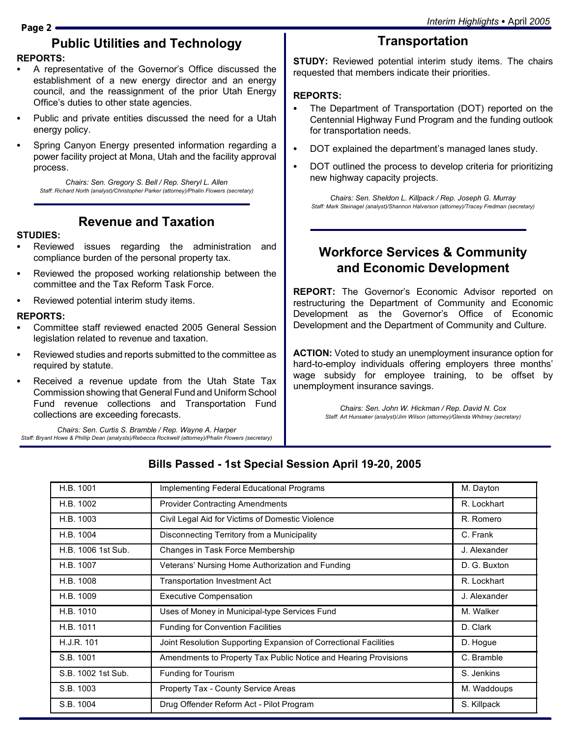# **Public Utilities and Technology**

### **REPORTS:**

- A representative of the Governor's Office discussed the establishment of a new energy director and an energy council, and the reassignment of the prior Utah Energy Office's duties to other state agencies.
- Public and private entities discussed the need for a Utah energy policy.
- Spring Canyon Energy presented information regarding a power facility project at Mona, Utah and the facility approval process.

*Chairs: Sen. Gregory S. Bell / Rep. Sheryl L. Allen Staff: Richard North (analyst)/Christopher Parker (attorney)/Phalin Flowers (secretary)*

### **Revenue and Taxation**

### **STUDIES:**

- Reviewed issues regarding the administration and compliance burden of the personal property tax.
- Reviewed the proposed working relationship between the committee and the Tax Reform Task Force.
- Reviewed potential interim study items.

### **REPORTS:**

- Committee staff reviewed enacted 2005 General Session legislation related to revenue and taxation.
- Reviewed studies and reports submitted to the committee as required by statute.
- Received a revenue update from the Utah State Tax Commission showing that General Fund and Uniform School Fund revenue collections and Transportation Fund collections are exceeding forecasts.

*Chairs: Sen. Curtis S. Bramble / Rep. Wayne A. Harper Staff: Bryant Howe & Phillip Dean (analysts)/Rebecca Rockwell (attorney)/Phalin Flowers (secretary)*

# **Transportation**

**STUDY:** Reviewed potential interim study items. The chairs requested that members indicate their priorities.

### **REPORTS:**

- The Department of Transportation (DOT) reported on the Centennial Highway Fund Program and the funding outlook for transportation needs.
- DOT explained the department's managed lanes study.
- DOT outlined the process to develop criteria for prioritizing new highway capacity projects.

*Chairs: Sen. Sheldon L. Killpack / Rep. Joseph G. Murray Staff: Mark Steinagel (analyst)/Shannon Halverson (attorney)/Tracey Fredman (secretary)*

# **Workforce Services & Community and Economic Development**

**REPORT:** The Governor's Economic Advisor reported on restructuring the Department of Community and Economic Development as the Governor's Office of Economic Development and the Department of Community and Culture.

**ACTION:** Voted to study an unemployment insurance option for hard-to-employ individuals offering employers three months' wage subsidy for employee training, to be offset by unemployment insurance savings.

> *Chairs: Sen. John W. Hickman / Rep. David N. Cox Staff: Art Hunsaker (analyst)/Jim Wilson (attorney)/Glenda Whitney (secretary)*

| H.B. 1001          | Implementing Federal Educational Programs                        | M. Dayton    |
|--------------------|------------------------------------------------------------------|--------------|
| H.B. 1002          | <b>Provider Contracting Amendments</b>                           | R. Lockhart  |
| H.B. 1003          | Civil Legal Aid for Victims of Domestic Violence                 | R. Romero    |
| H.B. 1004          | Disconnecting Territory from a Municipality                      | C. Frank     |
| H.B. 1006 1st Sub. | Changes in Task Force Membership                                 | J. Alexander |
| H.B. 1007          | Veterans' Nursing Home Authorization and Funding                 | D. G. Buxton |
| H.B. 1008          | <b>Transportation Investment Act</b>                             | R. Lockhart  |
| H.B. 1009          | <b>Executive Compensation</b>                                    | J. Alexander |
| H.B. 1010          | Uses of Money in Municipal-type Services Fund                    | M. Walker    |
| H.B. 1011          | <b>Funding for Convention Facilities</b>                         | D. Clark     |
| H.J.R. 101         | Joint Resolution Supporting Expansion of Correctional Facilities | D. Hogue     |
| S.B. 1001          | Amendments to Property Tax Public Notice and Hearing Provisions  | C. Bramble   |
| S.B. 1002 1st Sub. | Funding for Tourism                                              | S. Jenkins   |
| S.B. 1003          | Property Tax - County Service Areas                              | M. Waddoups  |
| S.B. 1004          | Drug Offender Reform Act - Pilot Program                         | S. Killpack  |

### **Bills Passed - 1st Special Session April 19-20, 2005**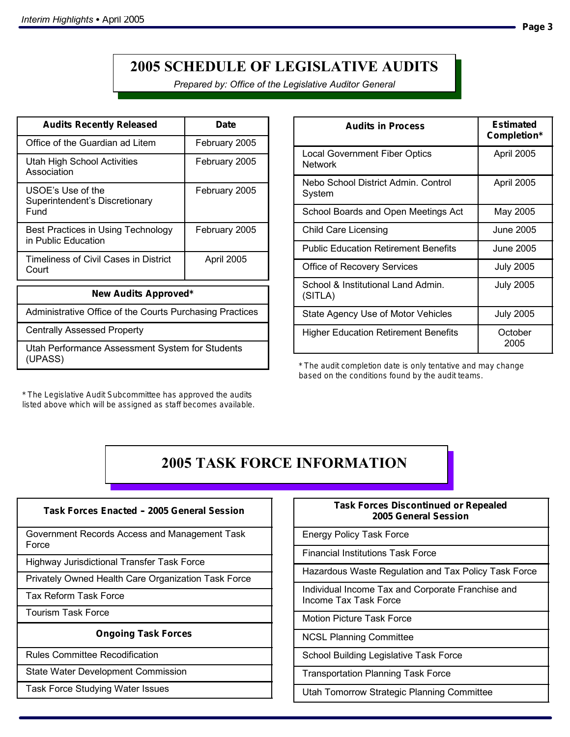# **2005 SCHEDULE OF LEGISLATIVE AUDITS**

*Prepared by: Office of the Legislative Auditor General*

| <b>Audits Recently Released</b>                             | Date          |  |  |  |
|-------------------------------------------------------------|---------------|--|--|--|
| Office of the Guardian ad Litem                             | February 2005 |  |  |  |
| Utah High School Activities<br>Association                  | February 2005 |  |  |  |
| USOE's Use of the<br>Superintendent's Discretionary<br>Fund | February 2005 |  |  |  |
| Best Practices in Using Technology<br>in Public Education   | February 2005 |  |  |  |
| Timeliness of Civil Cases in District<br>Court              | April 2005    |  |  |  |
| New Audits Approved*                                        |               |  |  |  |
| Administrative Office of the Courts Purchasing Practices    |               |  |  |  |
| <b>Centrally Assessed Property</b>                          |               |  |  |  |

Utah Performance Assessment System for Students (UPASS)

\* The Legislative Audit Subcommittee has approved the audits listed above which will be assigned as staff becomes available.

| <b>Audits in Process</b>                               | Estimated<br>Completion* |
|--------------------------------------------------------|--------------------------|
| <b>Local Government Fiber Optics</b><br><b>Network</b> | April 2005               |
| Nebo School District Admin. Control<br>System          | April 2005               |
| School Boards and Open Meetings Act                    | May 2005                 |
| <b>Child Care Licensing</b>                            | June 2005                |
| <b>Public Education Retirement Benefits</b>            | June 2005                |
| Office of Recovery Services                            | <b>July 2005</b>         |
| School & Institutional Land Admin.<br>(SITLA)          | <b>July 2005</b>         |
| State Agency Use of Motor Vehicles                     | <b>July 2005</b>         |
| <b>Higher Education Retirement Benefits</b>            | October<br>2005          |

\* The audit completion date is only tentative and may change based on the conditions found by the audit teams.

# **2005 TASK FORCE INFORMATION**

**Task Forces Enacted -- 2005 General Session**

Government Records Access and Management Task Force

Highway Jurisdictional Transfer Task Force

Privately Owned Health Care Organization Task Force

Tax Reform Task Force

Tourism Task Force

**Ongoing Task Forces**

Rules Committee Recodification

State Water Development Commission

Task Force Studying Water Issues

| <b>Task Forces Discontinued or Repealed</b> |
|---------------------------------------------|
| 2005 General Session                        |

Energy Policy Task Force

Financial Institutions Task Force

Hazardous Waste Regulation and Tax Policy Task Force

Individual Income Tax and Corporate Franchise and Income Tax Task Force

Motion Picture Task Force

NCSL Planning Committee

School Building Legislative Task Force

Transportation Planning Task Force

Utah Tomorrow Strategic Planning Committee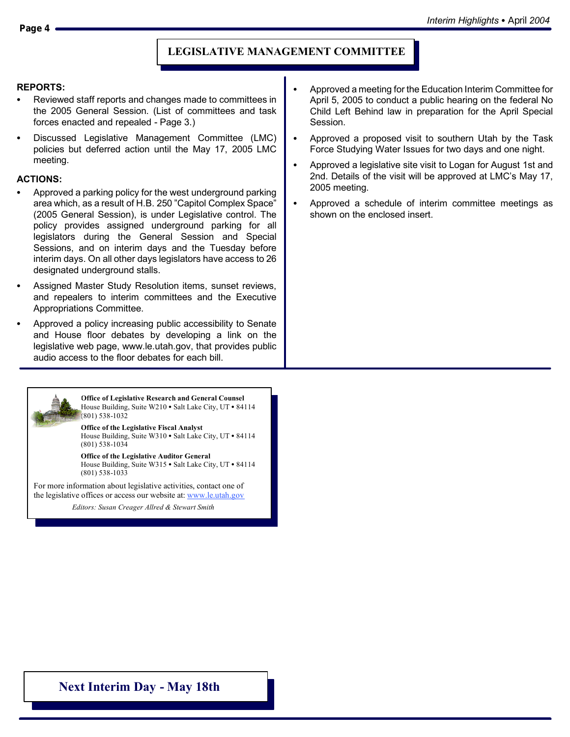### **LEGISLATIVE MANAGEMENT COMMITTEE**

#### **REPORTS:**

- Reviewed staff reports and changes made to committees in the 2005 General Session. (List of committees and task forces enacted and repealed - Page 3.)
- Discussed Legislative Management Committee (LMC) policies but deferred action until the May 17, 2005 LMC meeting.

### **ACTIONS:**

- Approved a parking policy for the west underground parking area which, as a result of H.B. 250 "Capitol Complex Space" (2005 General Session), is under Legislative control. The policy provides assigned underground parking for all legislators during the General Session and Special Sessions, and on interim days and the Tuesday before interim days. On all other days legislators have access to 26 designated underground stalls.
- Assigned Master Study Resolution items, sunset reviews, and repealers to interim committees and the Executive Appropriations Committee.
- Approved a policy increasing public accessibility to Senate and House floor debates by developing a link on the legislative web page, www.le.utah.gov, that provides public audio access to the floor debates for each bill.



**Office of Legislative Research and General Counsel** House Building, Suite W210  $\bullet$  Salt Lake City, UT  $\bullet$  84114 (801) 538-1032

**Office of the Legislative Fiscal Analyst** House Building, Suite W310 · Salt Lake City, UT · 84114 (801) 538-1034

**Office of the Legislative Auditor General** House Building, Suite W315  $\bullet$  Salt Lake City, UT  $\bullet$  84114 (801) 538-1033

For more information about legislative activities, contact one of the legislative offices or access our website at: www.le.utah.gov

*Editors: Susan Creager-Allred & Stewart Smith Editors: Susan Creager Allred Smith*

- Approved a meeting for the Education Interim Committee for April 5, 2005 to conduct a public hearing on the federal No Child Left Behind law in preparation for the April Special Session.
- Approved a proposed visit to southern Utah by the Task Force Studying Water Issues for two days and one night.
- Approved a legislative site visit to Logan for August 1st and 2nd. Details of the visit will be approved at LMC's May 17, 2005 meeting.
- Approved a schedule of interim committee meetings as shown on the enclosed insert.

**Next Interim Day - May 18th**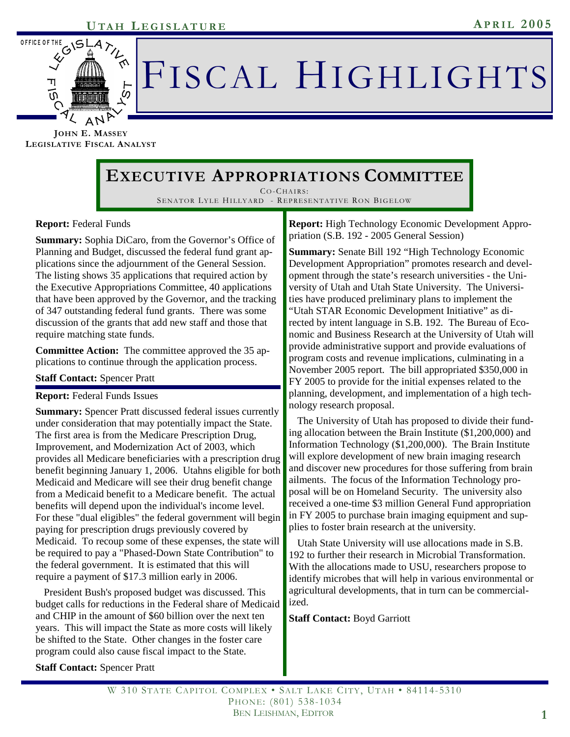

# FISCAL HIGHLIGHTS

**JOHN E. MASSEY LEGISLATIVE FISCAL ANALYST**

# **EXECUTIVE APPROPRIATIONS COMMITTEE**

CO-CHAIRS : SENATOR LYLE HILLYARD - REPRESENTATIVE RON BIGELOW

### **Report:** Federal Funds

**Summary:** Sophia DiCaro, from the Governor's Office of Planning and Budget, discussed the federal fund grant applications since the adjournment of the General Session. The listing shows 35 applications that required action by the Executive Appropriations Committee, 40 applications that have been approved by the Governor, and the tracking of 347 outstanding federal fund grants. There was some discussion of the grants that add new staff and those that require matching state funds.

**Committee Action:** The committee approved the 35 applications to continue through the application process.

### **Staff Contact:** Spencer Pratt

### **Report:** Federal Funds Issues

**Summary:** Spencer Pratt discussed federal issues currently under consideration that may potentially impact the State. The first area is from the Medicare Prescription Drug, Improvement, and Modernization Act of 2003, which provides all Medicare beneficiaries with a prescription drug benefit beginning January 1, 2006. Utahns eligible for both Medicaid and Medicare will see their drug benefit change from a Medicaid benefit to a Medicare benefit. The actual benefits will depend upon the individual's income level. For these "dual eligibles" the federal government will begin paying for prescription drugs previously covered by Medicaid. To recoup some of these expenses, the state will be required to pay a "Phased-Down State Contribution" to the federal government. It is estimated that this will require a payment of \$17.3 million early in 2006.

 President Bush's proposed budget was discussed. This budget calls for reductions in the Federal share of Medicaid and CHIP in the amount of \$60 billion over the next ten years. This will impact the State as more costs will likely be shifted to the State. Other changes in the foster care program could also cause fiscal impact to the State.

**Report:** High Technology Economic Development Appropriation (S.B. 192 - 2005 General Session)

**Summary:** Senate Bill 192 "High Technology Economic Development Appropriation" promotes research and development through the state's research universities - the University of Utah and Utah State University. The Universities have produced preliminary plans to implement the "Utah STAR Economic Development Initiative" as directed by intent language in S.B. 192. The Bureau of Economic and Business Research at the University of Utah will provide administrative support and provide evaluations of program costs and revenue implications, culminating in a November 2005 report. The bill appropriated \$350,000 in FY 2005 to provide for the initial expenses related to the planning, development, and implementation of a high technology research proposal.

 The University of Utah has proposed to divide their funding allocation between the Brain Institute (\$1,200,000) and Information Technology (\$1,200,000). The Brain Institute will explore development of new brain imaging research and discover new procedures for those suffering from brain ailments. The focus of the Information Technology proposal will be on Homeland Security. The university also received a one-time \$3 million General Fund appropriation in FY 2005 to purchase brain imaging equipment and supplies to foster brain research at the university.

 Utah State University will use allocations made in S.B. 192 to further their research in Microbial Transformation. With the allocations made to USU, researchers propose to identify microbes that will help in various environmental or agricultural developments, that in turn can be commercialized.

**Staff Contact:** Boyd Garriott

**Staff Contact:** Spencer Pratt